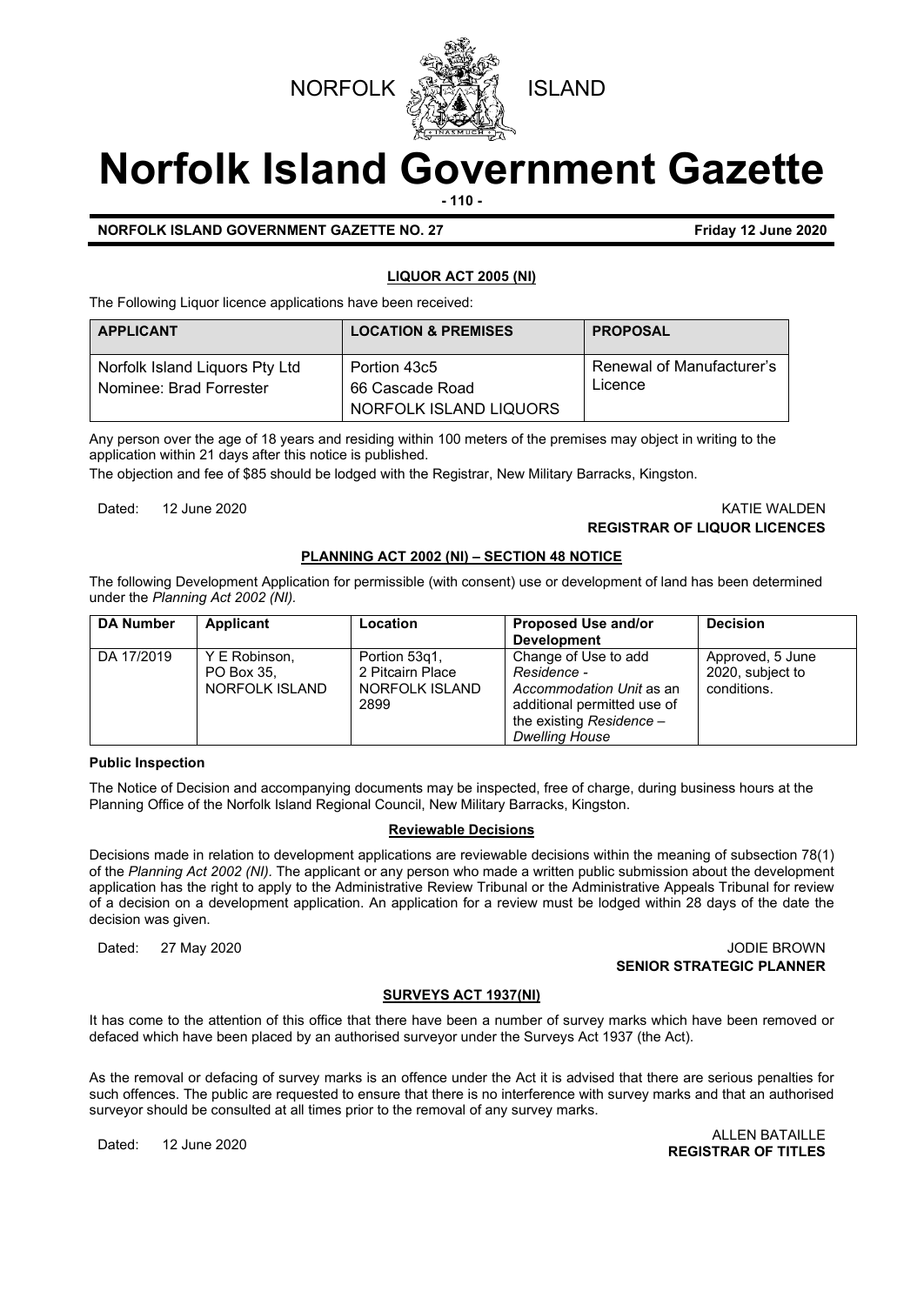



# **Norfolk Island Government Gazette**

**- 110 -**

**NORFOLK ISLAND GOVERNMENT GAZETTE NO. 27 Friday 12 June 2020**

# **LIQUOR ACT 2005 (NI)**

The Following Liquor licence applications have been received:

| <b>APPLICANT</b>                                          | <b>LOCATION &amp; PREMISES</b>                            | <b>PROPOSAL</b>                             |
|-----------------------------------------------------------|-----------------------------------------------------------|---------------------------------------------|
| Norfolk Island Liquors Pty Ltd<br>Nominee: Brad Forrester | Portion 43c5<br>66 Cascade Road<br>NORFOLK ISLAND LIQUORS | <b>Renewal of Manufacturer's</b><br>Licence |

Any person over the age of 18 years and residing within 100 meters of the premises may object in writing to the application within 21 days after this notice is published.

The objection and fee of \$85 should be lodged with the Registrar, New Military Barracks, Kingston.

#### Dated: 12 June 2020 KATIE WALDEN **REGISTRAR OF LIQUOR LICENCES**

# **PLANNING ACT 2002 (NI) – SECTION 48 NOTICE**

The following Development Application for permissible (with consent) use or development of land has been determined under the *Planning Act 2002 (NI).*

| <b>DA Number</b> | Applicant                                     | Location                                                    | <b>Proposed Use and/or</b><br><b>Development</b>                                                                                                    | <b>Decision</b>                                     |
|------------------|-----------------------------------------------|-------------------------------------------------------------|-----------------------------------------------------------------------------------------------------------------------------------------------------|-----------------------------------------------------|
| DA 17/2019       | Y E Robinson,<br>PO Box 35.<br>NORFOLK ISLAND | Portion 53g1,<br>2 Pitcairn Place<br>NORFOLK ISLAND<br>2899 | Change of Use to add<br>Residence -<br>Accommodation Unit as an<br>additional permitted use of<br>the existing Residence -<br><b>Dwelling House</b> | Approved, 5 June<br>2020, subject to<br>conditions. |

# **Public Inspection**

The Notice of Decision and accompanying documents may be inspected, free of charge, during business hours at the Planning Office of the Norfolk Island Regional Council, New Military Barracks, Kingston.

# **Reviewable Decisions**

Decisions made in relation to development applications are reviewable decisions within the meaning of subsection 78(1) of the *Planning Act 2002 (NI).* The applicant or any person who made a written public submission about the development application has the right to apply to the Administrative Review Tribunal or the Administrative Appeals Tribunal for review of a decision on a development application. An application for a review must be lodged within 28 days of the date the decision was given.

Dated: 27 May 2020 JODIE BROWN **SENIOR STRATEGIC PLANNER** 

# **SURVEYS ACT 1937(NI)**

It has come to the attention of this office that there have been a number of survey marks which have been removed or defaced which have been placed by an authorised surveyor under the Surveys Act 1937 (the Act).

As the removal or defacing of survey marks is an offence under the Act it is advised that there are serious penalties for such offences. The public are requested to ensure that there is no interference with survey marks and that an authorised surveyor should be consulted at all times prior to the removal of any survey marks.

Dated: 12 June 2020 ALLEN BATAILLE **REGISTRAR OF TITLES**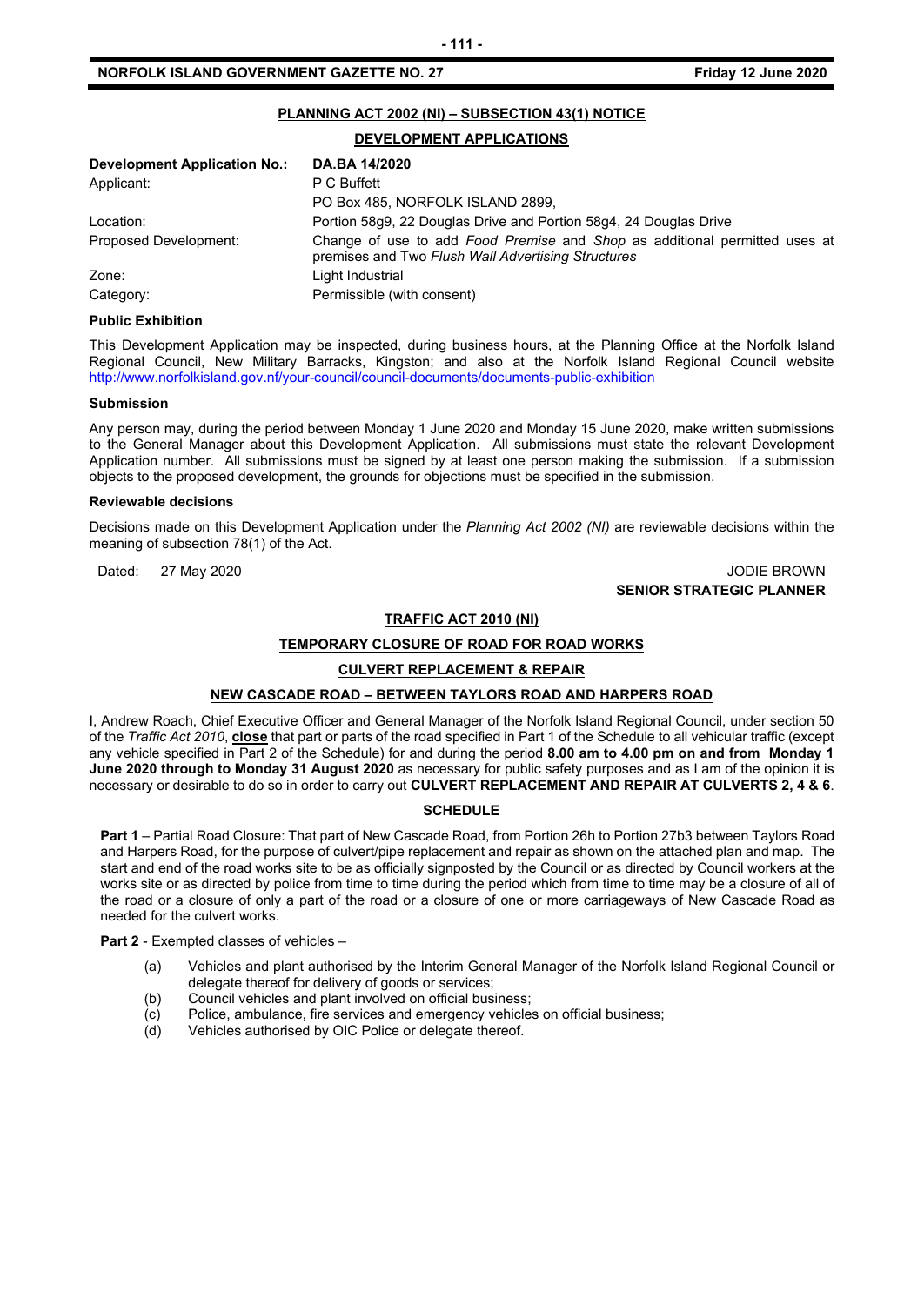# **PLANNING ACT 2002 (NI) – SUBSECTION 43(1) NOTICE**

# **DEVELOPMENT APPLICATIONS**

| <b>Development Application No.:</b> | DA.BA 14/2020                                                                                                                    |
|-------------------------------------|----------------------------------------------------------------------------------------------------------------------------------|
| Applicant:                          | P C Buffett                                                                                                                      |
|                                     | PO Box 485, NORFOLK ISLAND 2899,                                                                                                 |
| Location:                           | Portion 58q9, 22 Douglas Drive and Portion 58q4, 24 Douglas Drive                                                                |
| Proposed Development:               | Change of use to add Food Premise and Shop as additional permitted uses at<br>premises and Two Flush Wall Advertising Structures |
| Zone:                               | Light Industrial                                                                                                                 |
| Category:                           | Permissible (with consent)                                                                                                       |

#### **Public Exhibition**

This Development Application may be inspected, during business hours, at the Planning Office at the Norfolk Island Regional Council, New Military Barracks, Kingston; and also at the Norfolk Island Regional Council website <http://www.norfolkisland.gov.nf/your-council/council-documents/documents-public-exhibition>

#### **Submission**

Any person may, during the period between Monday 1 June 2020 and Monday 15 June 2020, make written submissions to the General Manager about this Development Application. All submissions must state the relevant Development Application number. All submissions must be signed by at least one person making the submission. If a submission objects to the proposed development, the grounds for objections must be specified in the submission.

#### **Reviewable decisions**

Decisions made on this Development Application under the *Planning Act 2002 (NI)* are reviewable decisions within the meaning of subsection 78(1) of the Act.

# Dated: 27 May 2020 JODIE BROWN **SENIOR STRATEGIC PLANNER**

# **TRAFFIC ACT 2010 (NI)**

# **TEMPORARY CLOSURE OF ROAD FOR ROAD WORKS**

# **CULVERT REPLACEMENT & REPAIR**

# **NEW CASCADE ROAD – BETWEEN TAYLORS ROAD AND HARPERS ROAD**

I, Andrew Roach, Chief Executive Officer and General Manager of the Norfolk Island Regional Council, under section 50 of the *Traffic Act 2010*, **close** that part or parts of the road specified in Part 1 of the Schedule to all vehicular traffic (except any vehicle specified in Part 2 of the Schedule) for and during the period **8.00 am to 4.00 pm on and from Monday 1 June 2020 through to Monday 31 August 2020** as necessary for public safety purposes and as I am of the opinion it is necessary or desirable to do so in order to carry out **CULVERT REPLACEMENT AND REPAIR AT CULVERTS 2, 4 & 6**.

# **SCHEDULE**

**Part 1** – Partial Road Closure: That part of New Cascade Road, from Portion 26h to Portion 27b3 between Taylors Road and Harpers Road, for the purpose of culvert/pipe replacement and repair as shown on the attached plan and map. The start and end of the road works site to be as officially signposted by the Council or as directed by Council workers at the works site or as directed by police from time to time during the period which from time to time may be a closure of all of the road or a closure of only a part of the road or a closure of one or more carriageways of New Cascade Road as needed for the culvert works.

**Part 2** - Exempted classes of vehicles –

- (a) Vehicles and plant authorised by the Interim General Manager of the Norfolk Island Regional Council or delegate thereof for delivery of goods or services;
- (b) Council vehicles and plant involved on official business;
- $\overline{c}$  Police, ambulance, fire services and emergency vehicles on official business;<br>(d) Vehicles authorised by OIC Police or delegate thereof.
- Vehicles authorised by OIC Police or delegate thereof.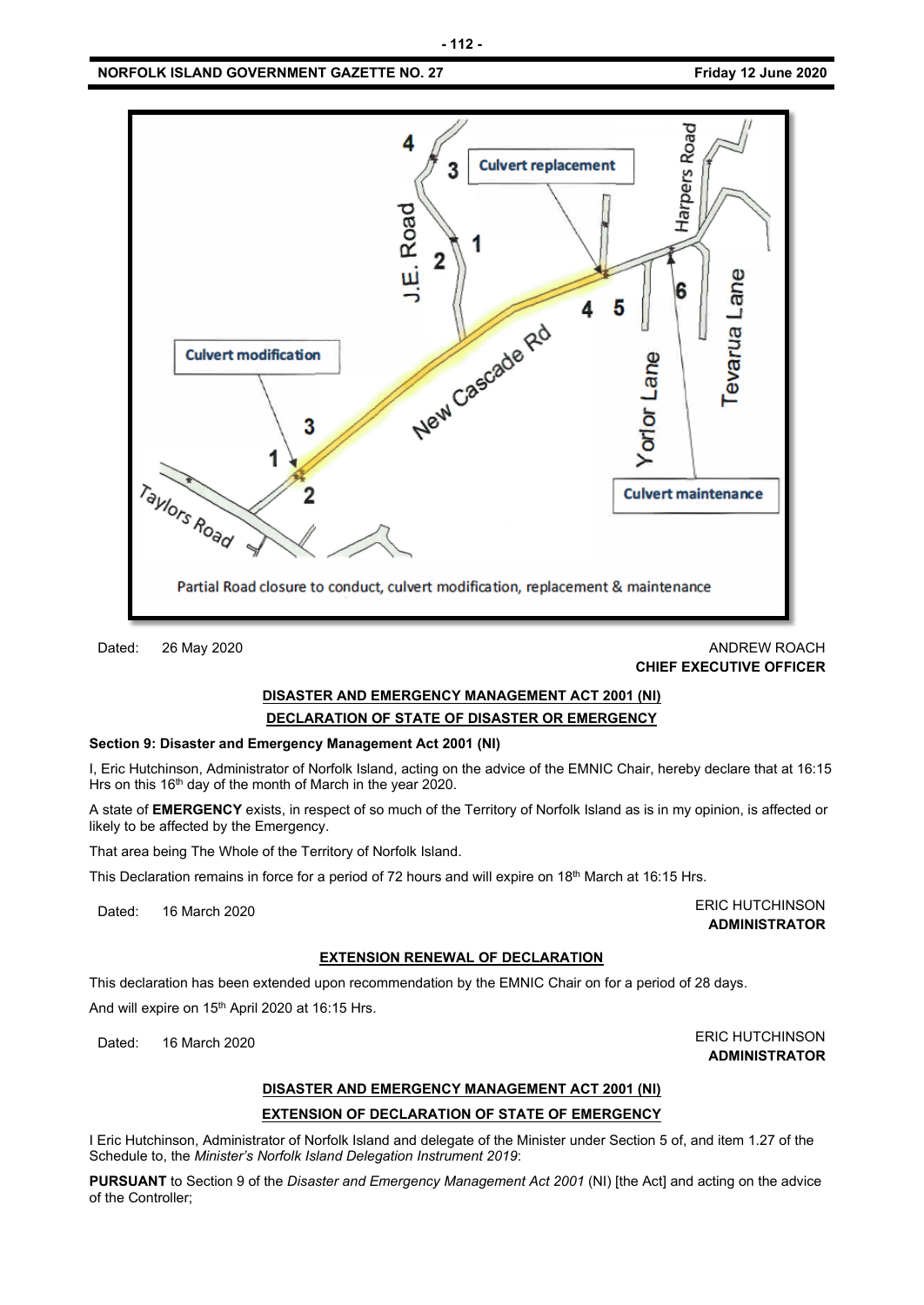# **NORFOLK ISLAND GOVERNMENT GAZETTE NO. 27 FRIDAY 12 JUNE 2020**



# Dated: 26 May 2020 ANDREW ROACH **CHIEF EXECUTIVE OFFICER**

# **DISASTER AND EMERGENCY MANAGEMENT ACT 2001 (NI) DECLARATION OF STATE OF DISASTER OR EMERGENCY**

# **Section 9: Disaster and Emergency Management Act 2001 (NI)**

I, Eric Hutchinson, Administrator of Norfolk Island, acting on the advice of the EMNIC Chair, hereby declare that at 16:15 Hrs on this 16<sup>th</sup> day of the month of March in the year 2020.

A state of **EMERGENCY** exists, in respect of so much of the Territory of Norfolk Island as is in my opinion, is affected or likely to be affected by the Emergency.

That area being The Whole of the Territory of Norfolk Island.

This Declaration remains in force for a period of 72 hours and will expire on 18<sup>th</sup> March at 16:15 Hrs.

Dated: 16 March 2020 **ERIC HUTCHINSON ADMINISTRATOR**

# **EXTENSION RENEWAL OF DECLARATION**

This declaration has been extended upon recommendation by the EMNIC Chair on for a period of 28 days.

And will expire on 15<sup>th</sup> April 2020 at 16:15 Hrs.

Dated: 16 March 2020 **ERIC HUTCHINSON** 

# **ADMINISTRATOR**

# **DISASTER AND EMERGENCY MANAGEMENT ACT 2001 (NI)**

# **EXTENSION OF DECLARATION OF STATE OF EMERGENCY**

I Eric Hutchinson, Administrator of Norfolk Island and delegate of the Minister under Section 5 of, and item 1.27 of the Schedule to, the *Minister's Norfolk Island Delegation Instrument 2019*:

**PURSUANT** to Section 9 of the *Disaster and Emergency Management Act 2001* (NI) [the Act] and acting on the advice of the Controller;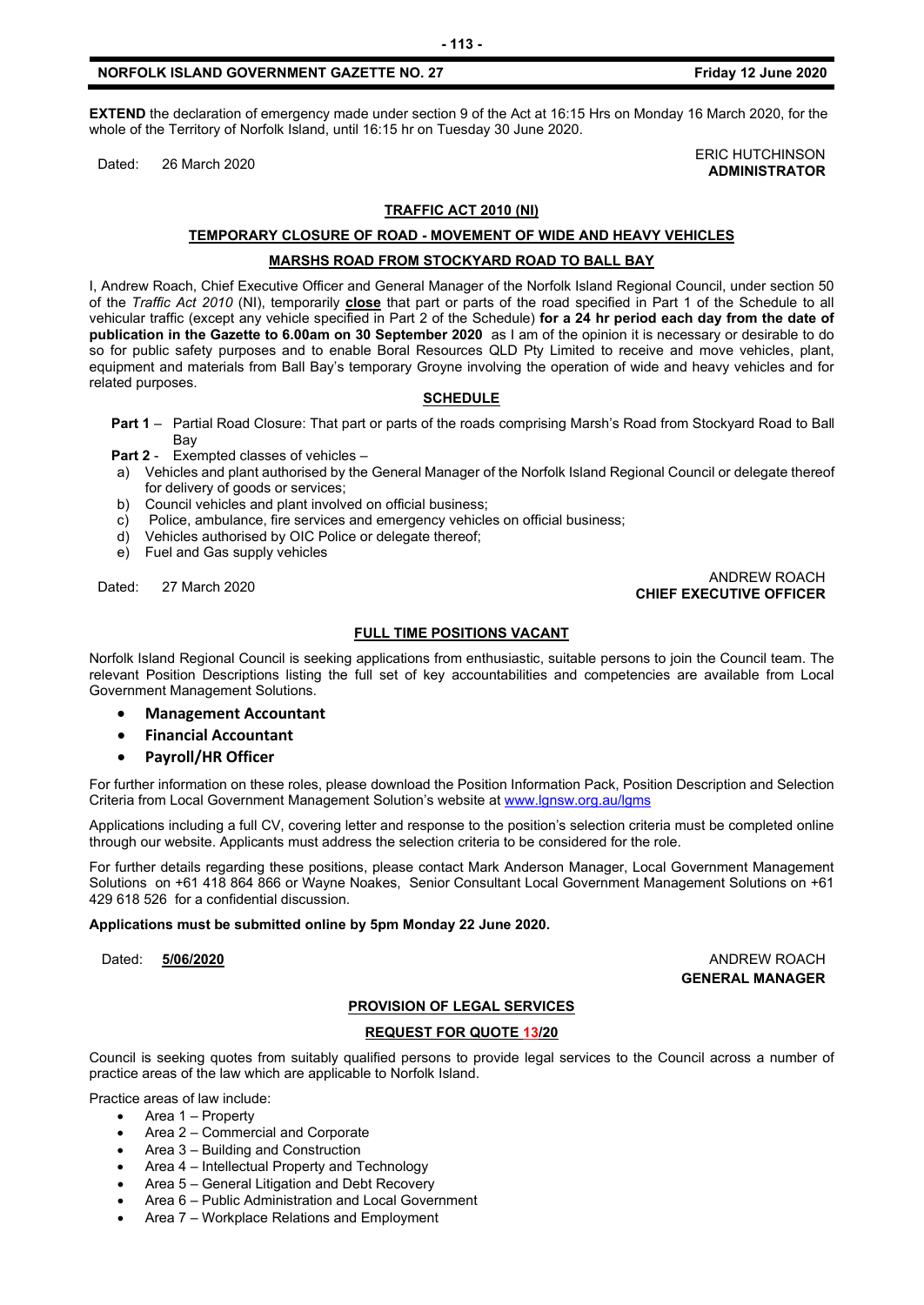# **NORFOLK ISLAND GOVERNMENT GAZETTE NO. 27 Friday 12 June 2020**

**EXTEND** the declaration of emergency made under section 9 of the Act at 16:15 Hrs on Monday 16 March 2020, for the whole of the Territory of Norfolk Island, until 16:15 hr on Tuesday 30 June 2020.

Dated: 26 March 2020<br>Dated: 26 March 2020

# **ADMINISTRATOR**

# **TRAFFIC ACT 2010 (NI)**

#### **TEMPORARY CLOSURE OF ROAD - MOVEMENT OF WIDE AND HEAVY VEHICLES**

# **MARSHS ROAD FROM STOCKYARD ROAD TO BALL BAY**

I, Andrew Roach, Chief Executive Officer and General Manager of the Norfolk Island Regional Council, under section 50 of the *Traffic Act 2010* (NI), temporarily **close** that part or parts of the road specified in Part 1 of the Schedule to all vehicular traffic (except any vehicle specified in Part 2 of the Schedule) **for a 24 hr period each day from the date of publication in the Gazette to 6.00am on 30 September 2020** as I am of the opinion it is necessary or desirable to do so for public safety purposes and to enable Boral Resources QLD Pty Limited to receive and move vehicles, plant, equipment and materials from Ball Bay's temporary Groyne involving the operation of wide and heavy vehicles and for related purposes.

# **SCHEDULE**

**Part 1** – Partial Road Closure: That part or parts of the roads comprising Marsh's Road from Stockyard Road to Ball **Bay** 

**Part 2** - Exempted classes of vehicles –

- a) Vehicles and plant authorised by the General Manager of the Norfolk Island Regional Council or delegate thereof for delivery of goods or services;
- b) Council vehicles and plant involved on official business;
- c) Police, ambulance, fire services and emergency vehicles on official business;
- d) Vehicles authorised by OIC Police or delegate thereof;
- e) Fuel and Gas supply vehicles

# Dated: 27 March 2020 ANDREW ROACH **CHIEF EXECUTIVE OFFICER**

# **FULL TIME POSITIONS VACANT**

Norfolk Island Regional Council is seeking applications from enthusiastic, suitable persons to join the Council team. The relevant Position Descriptions listing the full set of key accountabilities and competencies are available from Local Government Management Solutions.

- **Management Accountant**
- **Financial Accountant**
- **Payroll/HR Officer**

For further information on these roles, please download the Position Information Pack, Position Description and Selection Criteria from Local Government Management Solution's website at [www.lgnsw.org.au/lgms](http://www.lgnsw.org.au/lgms)

Applications including a full CV, covering letter and response to the position's selection criteria must be completed online through our website. Applicants must address the selection criteria to be considered for the role.

For further details regarding these positions, please contact Mark Anderson Manager, Local Government Management Solutions on +61 418 864 866 or Wayne Noakes, Senior Consultant Local Government Management Solutions on +61 429 618 526 for a confidential discussion.

**Applications must be submitted online by 5pm Monday 22 June 2020.**

Dated: **5/06/2020** ANDREW ROACH **GENERAL MANAGER**

# **PROVISION OF LEGAL SERVICES**

# **REQUEST FOR QUOTE 13/20**

Council is seeking quotes from suitably qualified persons to provide legal services to the Council across a number of practice areas of the law which are applicable to Norfolk Island.

Practice areas of law include:

- Area 1 Property
- Area 2 Commercial and Corporate
- Area 3 Building and Construction
- Area 4 Intellectual Property and Technology
- Area 5 General Litigation and Debt Recovery
- Area 6 Public Administration and Local Government
- Area 7 Workplace Relations and Employment